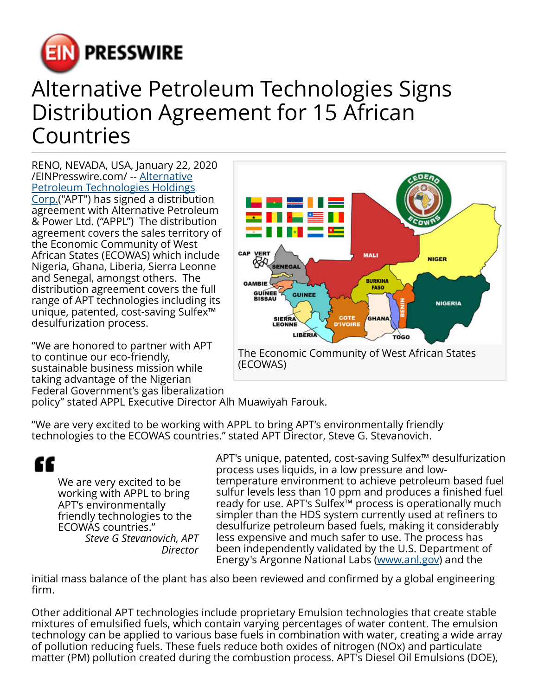

## Alternative Petroleum Technologies Signs Distribution Agreement for 15 African Countries

RENO, NEVADA, USA, January 22, 2020 [/EINPresswire.com/](http://www.einpresswire.com) -- [Alternative](http://www.altpetrol.com) [Petroleum Technologies Holdings](http://www.altpetrol.com)

[Corp.](http://www.altpetrol.com)("APT") has signed a distribution agreement with Alternative Petroleum & Power Ltd. ("APPL") The distribution agreement covers the sales territory of the Economic Community of West African States (ECOWAS) which include Nigeria, Ghana, Liberia, Sierra Leonne and Senegal, amongst others. The distribution agreement covers the full range of APT technologies including its unique, patented, cost-saving Sulfex™ desulfurization process.

"We are honored to partner with APT to continue our eco-friendly, sustainable business mission while taking advantage of the Nigerian Federal Government's gas liberalization



policy" stated APPL Executive Director Alh Muawiyah Farouk.

"We are very excited to be working with APPL to bring APT's environmentally friendly technologies to the ECOWAS countries." stated APT Director, Steve G. Stevanovich.

## ££

We are very excited to be working with APPL to bring APT's environmentally friendly technologies to the ECOWAS countries." *Steve G Stevanovich, APT Director*

APT's unique, patented, cost-saving Sulfex™ desulfurization process uses liquids, in a low pressure and lowtemperature environment to achieve petroleum based fuel sulfur levels less than 10 ppm and produces a finished fuel ready for use. APT's Sulfex™ process is operationally much simpler than the HDS system currently used at refiners to desulfurize petroleum based fuels, making it considerably less expensive and much safer to use. The process has been independently validated by the U.S. Department of Energy's Argonne National Labs [\(www.anl.gov\)](http://www.anl.gov) and the

initial mass balance of the plant has also been reviewed and confirmed by a global engineering firm.

Other additional APT technologies include proprietary Emulsion technologies that create stable mixtures of emulsified fuels, which contain varying percentages of water content. The emulsion technology can be applied to various base fuels in combination with water, creating a wide array of pollution reducing fuels. These fuels reduce both oxides of nitrogen (NOx) and particulate matter (PM) pollution created during the combustion process. APT's Diesel Oil Emulsions (DOE),